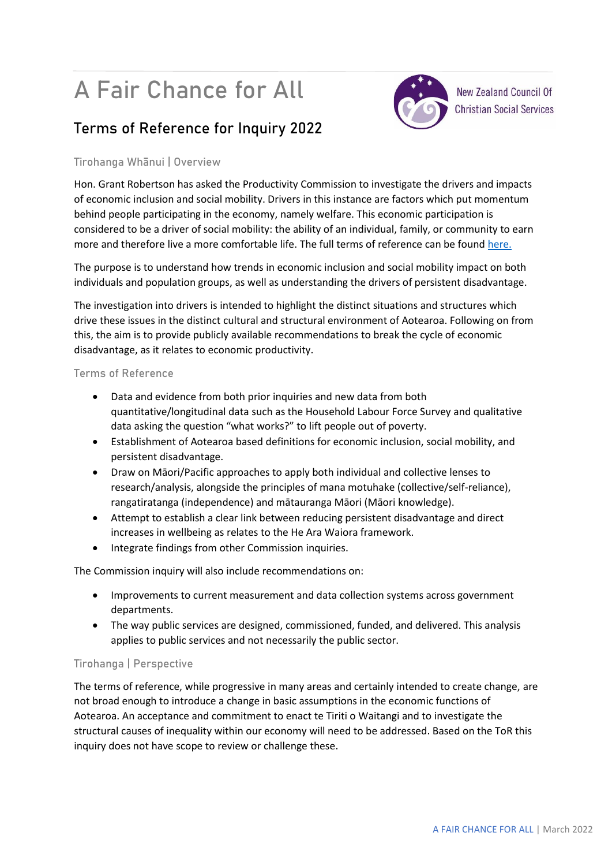# A Fair Chance for All



**New Zealand Council Of Christian Social Services** 

## **Terms of Reference for Inquiry 2022**

### **Tirohanga Whānui | Overview**

Hon. Grant Robertson has asked the Productivity Commission to investigate the drivers and impacts of economic inclusion and social mobility. Drivers in this instance are factors which put momentum behind people participating in the economy, namely welfare. This economic participation is considered to be a driver of social mobility: the ability of an individual, family, or community to earn more and therefore live a more comfortable life. The full terms of reference can be found [here.](https://www.productivity.govt.nz/assets/Documents/Consultation-paper-A-fair-chance-for-all-v2.pdf)

The purpose is to understand how trends in economic inclusion and social mobility impact on both individuals and population groups, as well as understanding the drivers of persistent disadvantage.

The investigation into drivers is intended to highlight the distinct situations and structures which drive these issues in the distinct cultural and structural environment of Aotearoa. Following on from this, the aim is to provide publicly available recommendations to break the cycle of economic disadvantage, as it relates to economic productivity.

#### **Terms of Reference**

- Data and evidence from both prior inquiries and new data from both quantitative/longitudinal data such as the Household Labour Force Survey and qualitative data asking the question "what works?" to lift people out of poverty.
- Establishment of Aotearoa based definitions for economic inclusion, social mobility, and persistent disadvantage.
- Draw on Māori/Pacific approaches to apply both individual and collective lenses to research/analysis, alongside the principles of mana motuhake (collective/self-reliance), rangatiratanga (independence) and mātauranga Māori (Māori knowledge).
- Attempt to establish a clear link between reducing persistent disadvantage and direct increases in wellbeing as relates to the He Ara Waiora framework.
- Integrate findings from other Commission inquiries.

The Commission inquiry will also include recommendations on:

- Improvements to current measurement and data collection systems across government departments.
- The way public services are designed, commissioned, funded, and delivered. This analysis applies to public services and not necessarily the public sector.

#### **Tirohanga | Perspective**

The terms of reference, while progressive in many areas and certainly intended to create change, are not broad enough to introduce a change in basic assumptions in the economic functions of Aotearoa. An acceptance and commitment to enact te Tiriti o Waitangi and to investigate the structural causes of inequality within our economy will need to be addressed. Based on the ToR this inquiry does not have scope to review or challenge these.